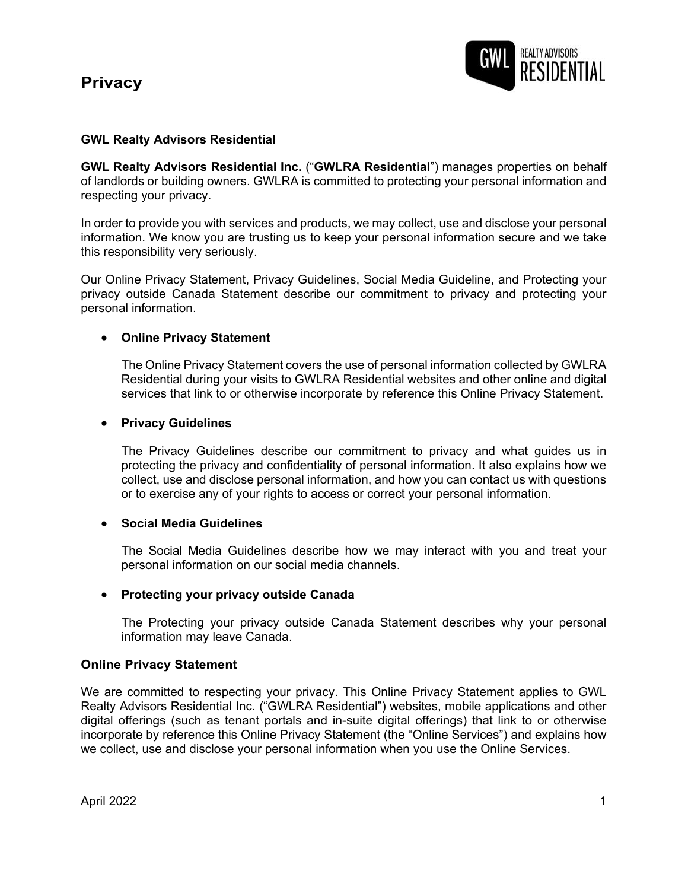# **Privacy**



## **GWL Realty Advisors Residential**

**GWL Realty Advisors Residential Inc.** ("**GWLRA Residential**") manages properties on behalf of landlords or building owners. GWLRA is committed to protecting your personal information and respecting your privacy.

In order to provide you with services and products, we may collect, use and disclose your personal information. We know you are trusting us to keep your personal information secure and we take this responsibility very seriously.

Our Online Privacy Statement, Privacy Guidelines, Social Media Guideline, and Protecting your privacy outside Canada Statement describe our commitment to privacy and protecting your personal information.

## • **Online Privacy Statement**

The Online Privacy Statement covers the use of personal information collected by GWLRA Residential during your visits to GWLRA Residential websites and other online and digital services that link to or otherwise incorporate by reference this Online Privacy Statement.

### • **Privacy Guidelines**

The Privacy Guidelines describe our commitment to privacy and what guides us in protecting the privacy and confidentiality of personal information. It also explains how we collect, use and disclose personal information, and how you can contact us with questions or to exercise any of your rights to access or correct your personal information.

### • **Social Media Guidelines**

The Social Media Guidelines describe how we may interact with you and treat your personal information on our social media channels.

### • **Protecting your privacy outside Canada**

The Protecting your privacy outside Canada Statement describes why your personal information may leave Canada.

### **Online Privacy Statement**

We are committed to respecting your privacy. This Online Privacy Statement applies to GWL Realty Advisors Residential Inc. ("GWLRA Residential") websites, mobile applications and other digital offerings (such as tenant portals and in-suite digital offerings) that link to or otherwise incorporate by reference this Online Privacy Statement (the "Online Services") and explains how we collect, use and disclose your personal information when you use the Online Services.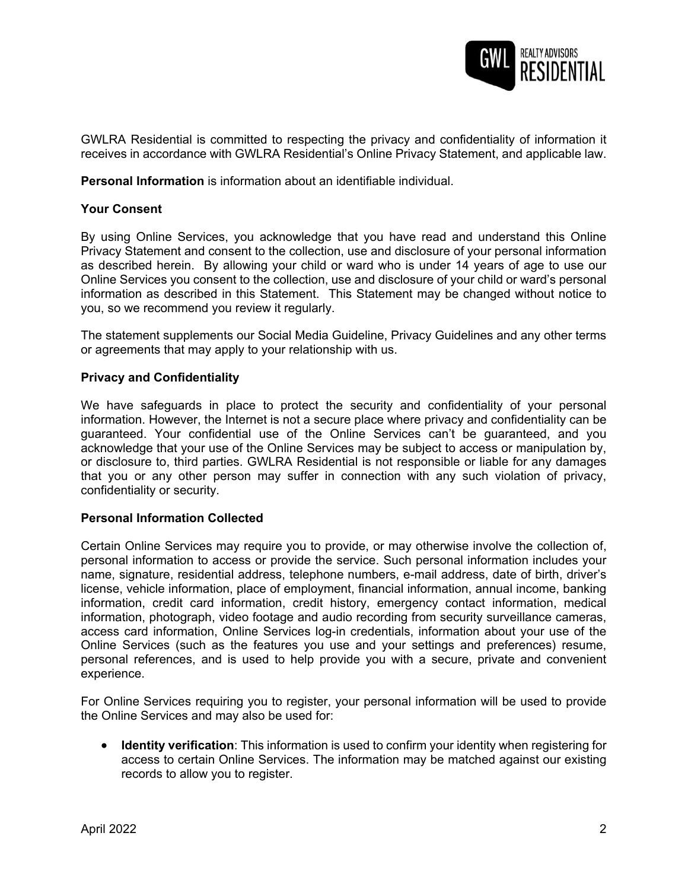

GWLRA Residential is committed to respecting the privacy and confidentiality of information it receives in accordance with GWLRA Residential's Online Privacy Statement, and applicable law.

**Personal Information** is information about an identifiable individual.

### **Your Consent**

By using Online Services, you acknowledge that you have read and understand this Online Privacy Statement and consent to the collection, use and disclosure of your personal information as described herein. By allowing your child or ward who is under 14 years of age to use our Online Services you consent to the collection, use and disclosure of your child or ward's personal information as described in this Statement. This Statement may be changed without notice to you, so we recommend you review it regularly.

The statement supplements our Social Media Guideline, Privacy Guidelines and any other terms or agreements that may apply to your relationship with us.

#### **Privacy and Confidentiality**

We have safeguards in place to protect the security and confidentiality of your personal information. However, the Internet is not a secure place where privacy and confidentiality can be guaranteed. Your confidential use of the Online Services can't be guaranteed, and you acknowledge that your use of the Online Services may be subject to access or manipulation by, or disclosure to, third parties. GWLRA Residential is not responsible or liable for any damages that you or any other person may suffer in connection with any such violation of privacy, confidentiality or security.

### **Personal Information Collected**

Certain Online Services may require you to provide, or may otherwise involve the collection of, personal information to access or provide the service. Such personal information includes your name, signature, residential address, telephone numbers, e-mail address, date of birth, driver's license, vehicle information, place of employment, financial information, annual income, banking information, credit card information, credit history, emergency contact information, medical information, photograph, video footage and audio recording from security surveillance cameras, access card information, Online Services log-in credentials, information about your use of the Online Services (such as the features you use and your settings and preferences) resume, personal references, and is used to help provide you with a secure, private and convenient experience.

For Online Services requiring you to register, your personal information will be used to provide the Online Services and may also be used for:

• **Identity verification**: This information is used to confirm your identity when registering for access to certain Online Services. The information may be matched against our existing records to allow you to register.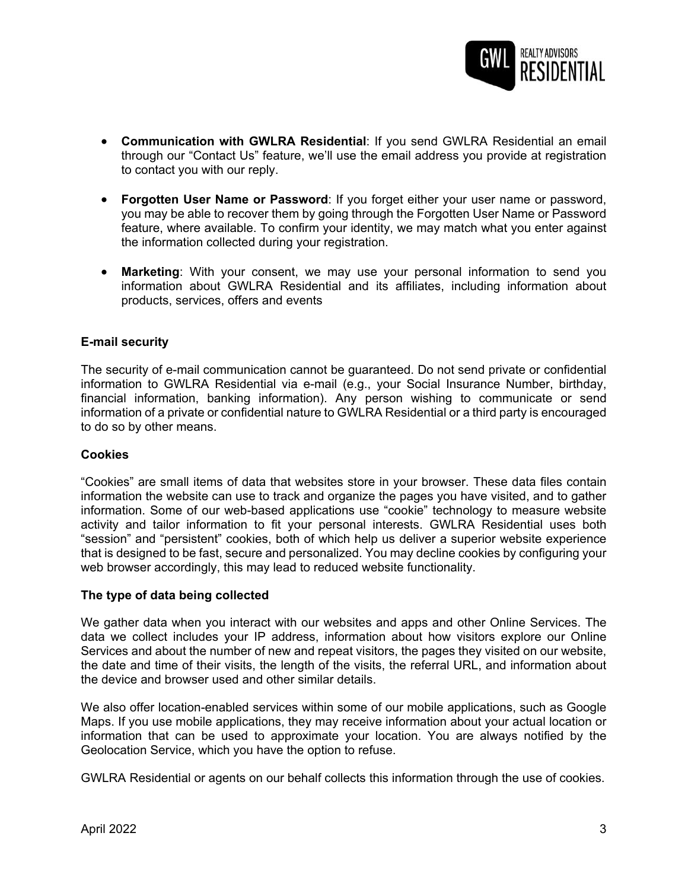

- **Communication with GWLRA Residential**: If you send GWLRA Residential an email through our "Contact Us" feature, we'll use the email address you provide at registration to contact you with our reply.
- **Forgotten User Name or Password**: If you forget either your user name or password, you may be able to recover them by going through the Forgotten User Name or Password feature, where available. To confirm your identity, we may match what you enter against the information collected during your registration.
- **Marketing**: With your consent, we may use your personal information to send you information about GWLRA Residential and its affiliates, including information about products, services, offers and events

## **E-mail security**

The security of e-mail communication cannot be guaranteed. Do not send private or confidential information to GWLRA Residential via e-mail (e.g., your Social Insurance Number, birthday, financial information, banking information). Any person wishing to communicate or send information of a private or confidential nature to GWLRA Residential or a third party is encouraged to do so by other means.

### **Cookies**

"Cookies" are small items of data that websites store in your browser. These data files contain information the website can use to track and organize the pages you have visited, and to gather information. Some of our web-based applications use "cookie" technology to measure website activity and tailor information to fit your personal interests. GWLRA Residential uses both "session" and "persistent" cookies, both of which help us deliver a superior website experience that is designed to be fast, secure and personalized. You may decline cookies by configuring your web browser accordingly, this may lead to reduced website functionality.

### **The type of data being collected**

We gather data when you interact with our websites and apps and other Online Services. The data we collect includes your IP address, information about how visitors explore our Online Services and about the number of new and repeat visitors, the pages they visited on our website, the date and time of their visits, the length of the visits, the referral URL, and information about the device and browser used and other similar details.

We also offer location-enabled services within some of our mobile applications, such as Google Maps. If you use mobile applications, they may receive information about your actual location or information that can be used to approximate your location. You are always notified by the Geolocation Service, which you have the option to refuse.

GWLRA Residential or agents on our behalf collects this information through the use of cookies.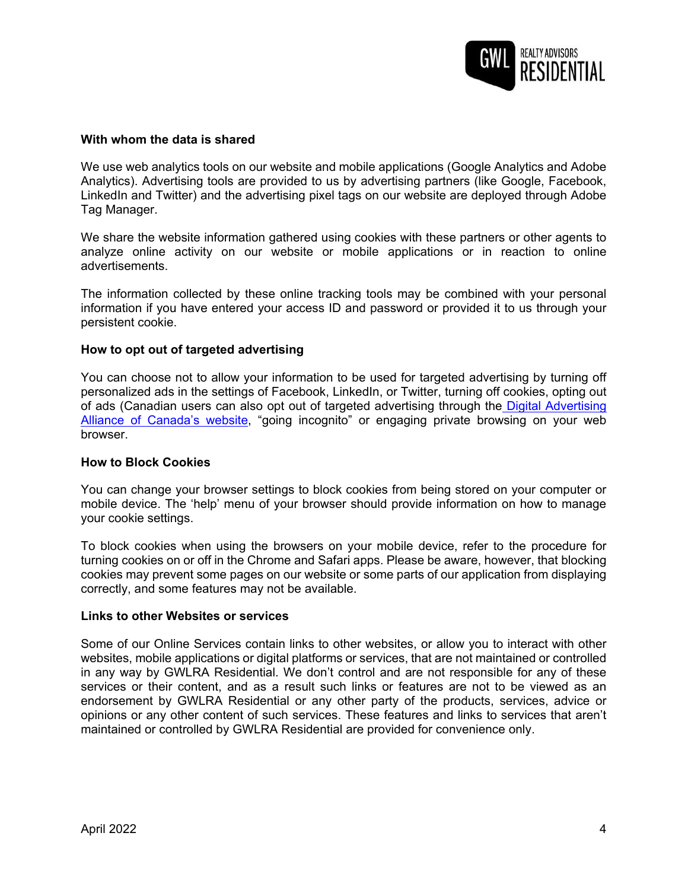

### **With whom the data is shared**

We use web analytics tools on our website and mobile applications (Google Analytics and Adobe Analytics). Advertising tools are provided to us by advertising partners (like Google, Facebook, LinkedIn and Twitter) and the advertising pixel tags on our website are deployed through Adobe Tag Manager.

We share the website information gathered using cookies with these partners or other agents to analyze online activity on our website or mobile applications or in reaction to online advertisements.

The information collected by these online tracking tools may be combined with your personal information if you have entered your access ID and password or provided it to us through your persistent cookie.

### **How to opt out of targeted advertising**

You can choose not to allow your information to be used for targeted advertising by turning off personalized ads in the settings of Facebook, LinkedIn, or Twitter, turning off cookies, opting out of ads (Canadian users can also opt out of targeted advertising through the Digital Advertising [Alliance of Canada's website, "going incognito" or engaging private browsing on your web](https://youradchoices.ca/en/tools)  browser.

#### **How to Block Cookies**

You can change your browser settings to block cookies from being stored on your computer or mobile device. The 'help' menu of your browser should provide information on how to manage your cookie settings.

To block cookies when using the browsers on your mobile device, refer to the procedure for turning cookies on or off in the Chrome and Safari apps. Please be aware, however, that blocking cookies may prevent some pages on our website or some parts of our application from displaying correctly, and some features may not be available.

#### **Links to other Websites or services**

Some of our Online Services contain links to other websites, or allow you to interact with other websites, mobile applications or digital platforms or services, that are not maintained or controlled in any way by GWLRA Residential. We don't control and are not responsible for any of these services or their content, and as a result such links or features are not to be viewed as an endorsement by GWLRA Residential or any other party of the products, services, advice or opinions or any other content of such services. These features and links to services that aren't maintained or controlled by GWLRA Residential are provided for convenience only.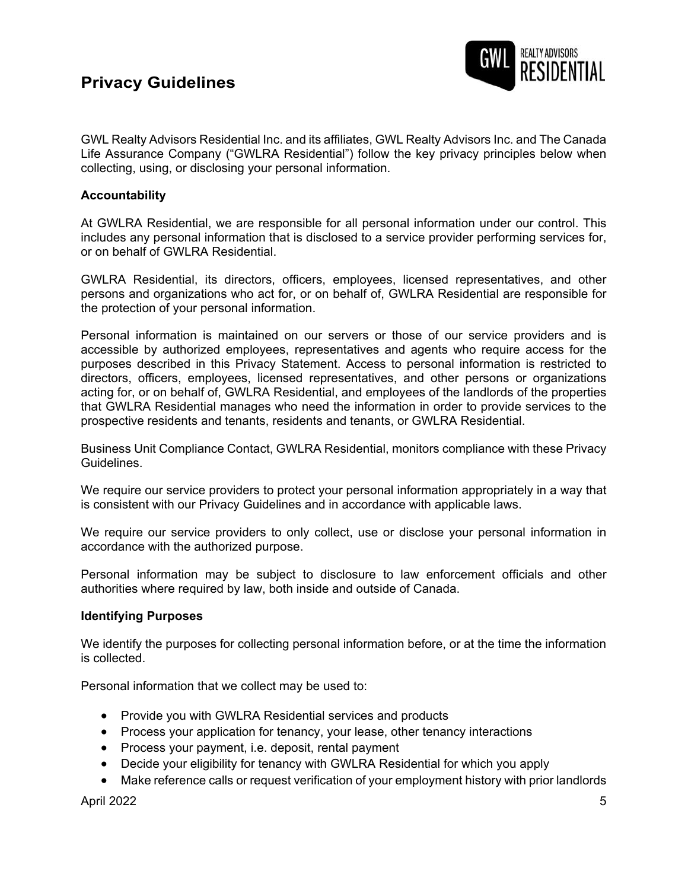# **Privacy Guidelines**



GWL Realty Advisors Residential Inc. and its affiliates, GWL Realty Advisors Inc. and The Canada Life Assurance Company ("GWLRA Residential") follow the key privacy principles below when collecting, using, or disclosing your personal information.

## **Accountability**

At GWLRA Residential, we are responsible for all personal information under our control. This includes any personal information that is disclosed to a service provider performing services for, or on behalf of GWLRA Residential.

GWLRA Residential, its directors, officers, employees, licensed representatives, and other persons and organizations who act for, or on behalf of, GWLRA Residential are responsible for the protection of your personal information.

Personal information is maintained on our servers or those of our service providers and is accessible by authorized employees, representatives and agents who require access for the purposes described in this Privacy Statement. Access to personal information is restricted to directors, officers, employees, licensed representatives, and other persons or organizations acting for, or on behalf of, GWLRA Residential, and employees of the landlords of the properties that GWLRA Residential manages who need the information in order to provide services to the prospective residents and tenants, residents and tenants, or GWLRA Residential.

Business Unit Compliance Contact, GWLRA Residential, monitors compliance with these Privacy Guidelines.

We require our service providers to protect your personal information appropriately in a way that is consistent with our Privacy Guidelines and in accordance with applicable laws.

We require our service providers to only collect, use or disclose your personal information in accordance with the authorized purpose.

Personal information may be subject to disclosure to law enforcement officials and other authorities where required by law, both inside and outside of Canada.

### **Identifying Purposes**

We identify the purposes for collecting personal information before, or at the time the information is collected.

Personal information that we collect may be used to:

- Provide you with GWLRA Residential services and products
- Process your application for tenancy, your lease, other tenancy interactions
- Process your payment, i.e. deposit, rental payment
- Decide your eligibility for tenancy with GWLRA Residential for which you apply
- Make reference calls or request verification of your employment history with prior landlords

April 2022 5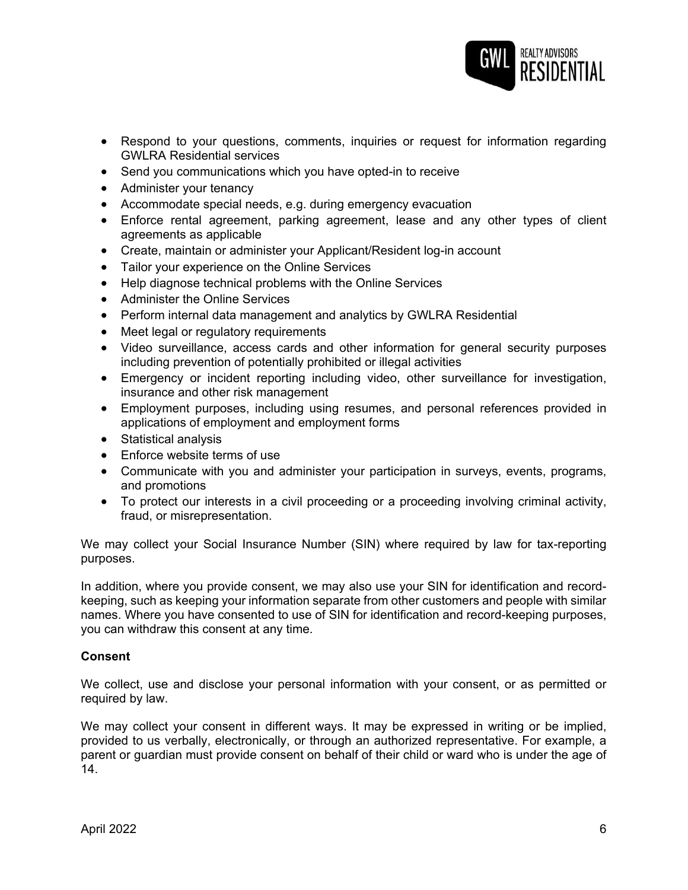

- Respond to your questions, comments, inquiries or request for information regarding GWLRA Residential services
- Send you communications which you have opted-in to receive
- Administer your tenancy
- Accommodate special needs, e.g. during emergency evacuation
- Enforce rental agreement, parking agreement, lease and any other types of client agreements as applicable
- Create, maintain or administer your Applicant/Resident log-in account
- Tailor your experience on the Online Services
- Help diagnose technical problems with the Online Services
- Administer the Online Services
- Perform internal data management and analytics by GWLRA Residential
- Meet legal or regulatory requirements
- Video surveillance, access cards and other information for general security purposes including prevention of potentially prohibited or illegal activities
- Emergency or incident reporting including video, other surveillance for investigation, insurance and other risk management
- Employment purposes, including using resumes, and personal references provided in applications of employment and employment forms
- Statistical analysis
- Enforce website terms of use
- Communicate with you and administer your participation in surveys, events, programs, and promotions
- To protect our interests in a civil proceeding or a proceeding involving criminal activity, fraud, or misrepresentation.

We may collect your Social Insurance Number (SIN) where required by law for tax-reporting purposes.

In addition, where you provide consent, we may also use your SIN for identification and recordkeeping, such as keeping your information separate from other customers and people with similar names. Where you have consented to use of SIN for identification and record-keeping purposes, you can withdraw this consent at any time.

### **Consent**

We collect, use and disclose your personal information with your consent, or as permitted or required by law.

We may collect your consent in different ways. It may be expressed in writing or be implied, provided to us verbally, electronically, or through an authorized representative. For example, a parent or guardian must provide consent on behalf of their child or ward who is under the age of 14.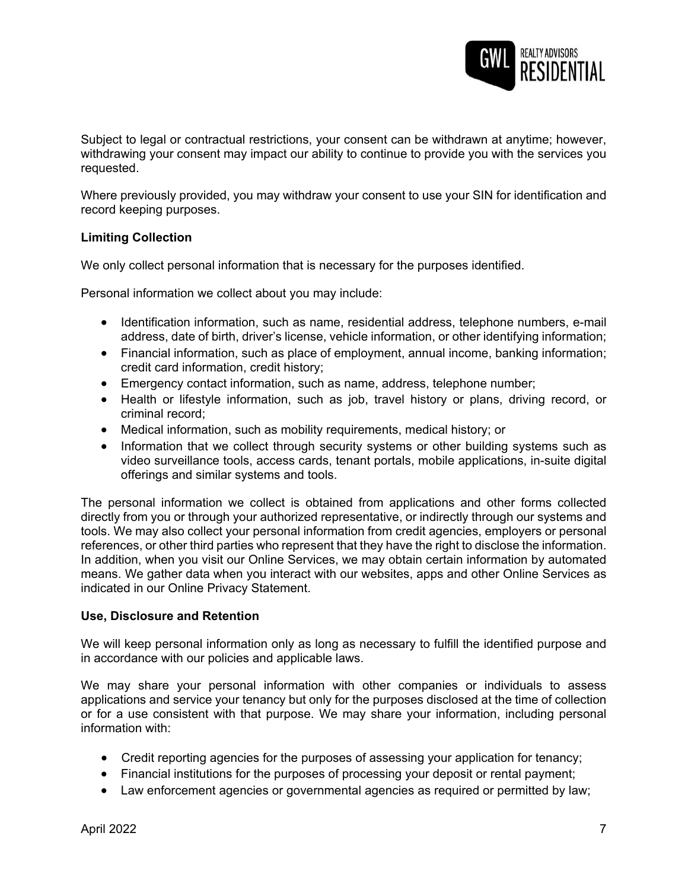

Subject to legal or contractual restrictions, your consent can be withdrawn at anytime; however, withdrawing your consent may impact our ability to continue to provide you with the services you requested.

Where previously provided, you may withdraw your consent to use your SIN for identification and record keeping purposes.

## **Limiting Collection**

We only collect personal information that is necessary for the purposes identified.

Personal information we collect about you may include:

- Identification information, such as name, residential address, telephone numbers, e-mail address, date of birth, driver's license, vehicle information, or other identifying information;
- Financial information, such as place of employment, annual income, banking information; credit card information, credit history;
- Emergency contact information, such as name, address, telephone number;
- Health or lifestyle information, such as job, travel history or plans, driving record, or criminal record;
- Medical information, such as mobility requirements, medical history; or
- Information that we collect through security systems or other building systems such as video surveillance tools, access cards, tenant portals, mobile applications, in-suite digital offerings and similar systems and tools.

The personal information we collect is obtained from applications and other forms collected directly from you or through your authorized representative, or indirectly through our systems and tools. We may also collect your personal information from credit agencies, employers or personal references, or other third parties who represent that they have the right to disclose the information. In addition, when you visit our Online Services, we may obtain certain information by automated means. We gather data when you interact with our websites, apps and other Online Services as indicated in our Online Privacy Statement.

## **Use, Disclosure and Retention**

We will keep personal information only as long as necessary to fulfill the identified purpose and in accordance with our policies and applicable laws.

We may share your personal information with other companies or individuals to assess applications and service your tenancy but only for the purposes disclosed at the time of collection or for a use consistent with that purpose. We may share your information, including personal information with:

- Credit reporting agencies for the purposes of assessing your application for tenancy;
- Financial institutions for the purposes of processing your deposit or rental payment;
- Law enforcement agencies or governmental agencies as required or permitted by law;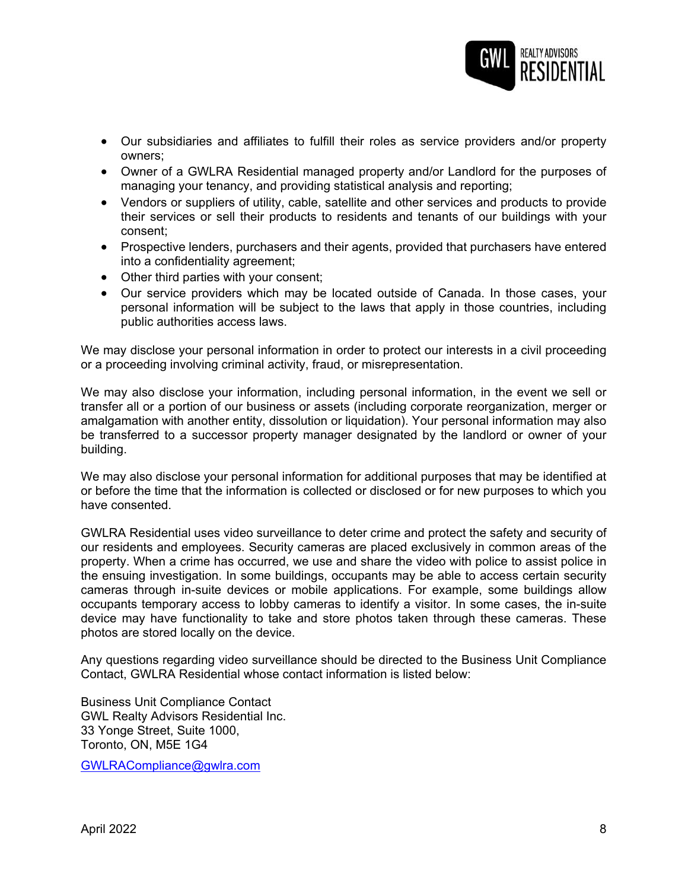

- Our subsidiaries and affiliates to fulfill their roles as service providers and/or property owners;
- Owner of a GWLRA Residential managed property and/or Landlord for the purposes of managing your tenancy, and providing statistical analysis and reporting;
- Vendors or suppliers of utility, cable, satellite and other services and products to provide their services or sell their products to residents and tenants of our buildings with your consent;
- Prospective lenders, purchasers and their agents, provided that purchasers have entered into a confidentiality agreement;
- Other third parties with your consent;
- Our service providers which may be located outside of Canada. In those cases, your personal information will be subject to the laws that apply in those countries, including public authorities access laws.

We may disclose your personal information in order to protect our interests in a civil proceeding or a proceeding involving criminal activity, fraud, or misrepresentation.

We may also disclose your information, including personal information, in the event we sell or transfer all or a portion of our business or assets (including corporate reorganization, merger or amalgamation with another entity, dissolution or liquidation). Your personal information may also be transferred to a successor property manager designated by the landlord or owner of your building.

We may also disclose your personal information for additional purposes that may be identified at or before the time that the information is collected or disclosed or for new purposes to which you have consented.

GWLRA Residential uses video surveillance to deter crime and protect the safety and security of our residents and employees. Security cameras are placed exclusively in common areas of the property. When a crime has occurred, we use and share the video with police to assist police in the ensuing investigation. In some buildings, occupants may be able to access certain security cameras through in-suite devices or mobile applications. For example, some buildings allow occupants temporary access to lobby cameras to identify a visitor. In some cases, the in-suite device may have functionality to take and store photos taken through these cameras. These photos are stored locally on the device.

Any questions regarding video surveillance should be directed to the Business Unit Compliance Contact, GWLRA Residential whose contact information is listed below:

Business Unit Compliance Contact GWL Realty Advisors Residential Inc. 33 Yonge Street, Suite 1000, Toronto, ON, M5E 1G4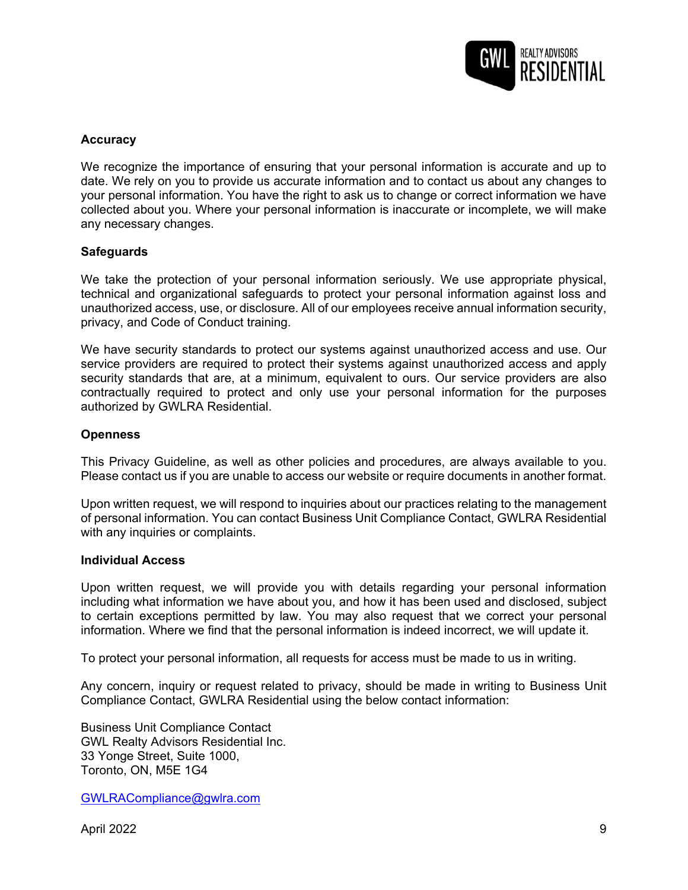

## **Accuracy**

We recognize the importance of ensuring that your personal information is accurate and up to date. We rely on you to provide us accurate information and to contact us about any changes to your personal information. You have the right to ask us to change or correct information we have collected about you. Where your personal information is inaccurate or incomplete, we will make any necessary changes.

### **Safeguards**

We take the protection of your personal information seriously. We use appropriate physical, technical and organizational safeguards to protect your personal information against loss and unauthorized access, use, or disclosure. All of our employees receive annual information security, privacy, and Code of Conduct training.

We have security standards to protect our systems against unauthorized access and use. Our service providers are required to protect their systems against unauthorized access and apply security standards that are, at a minimum, equivalent to ours. Our service providers are also contractually required to protect and only use your personal information for the purposes authorized by GWLRA Residential.

### **Openness**

This Privacy Guideline, as well as other policies and procedures, are always available to you. Please contact us if you are unable to access our website or require documents in another format.

Upon written request, we will respond to inquiries about our practices relating to the management of personal information. You can contact Business Unit Compliance Contact, GWLRA Residential with any inquiries or complaints.

#### **Individual Access**

Upon written request, we will provide you with details regarding your personal information including what information we have about you, and how it has been used and disclosed, subject to certain exceptions permitted by law. You may also request that we correct your personal information. Where we find that the personal information is indeed incorrect, we will update it.

To protect your personal information, all requests for access must be made to us in writing.

Any concern, inquiry or request related to privacy, should be made in writing to Business Unit Compliance Contact, GWLRA Residential using the below contact information:

Business Unit Compliance Contact GWL Realty Advisors Residential Inc. 33 Yonge Street, Suite 1000, Toronto, ON, M5E 1G4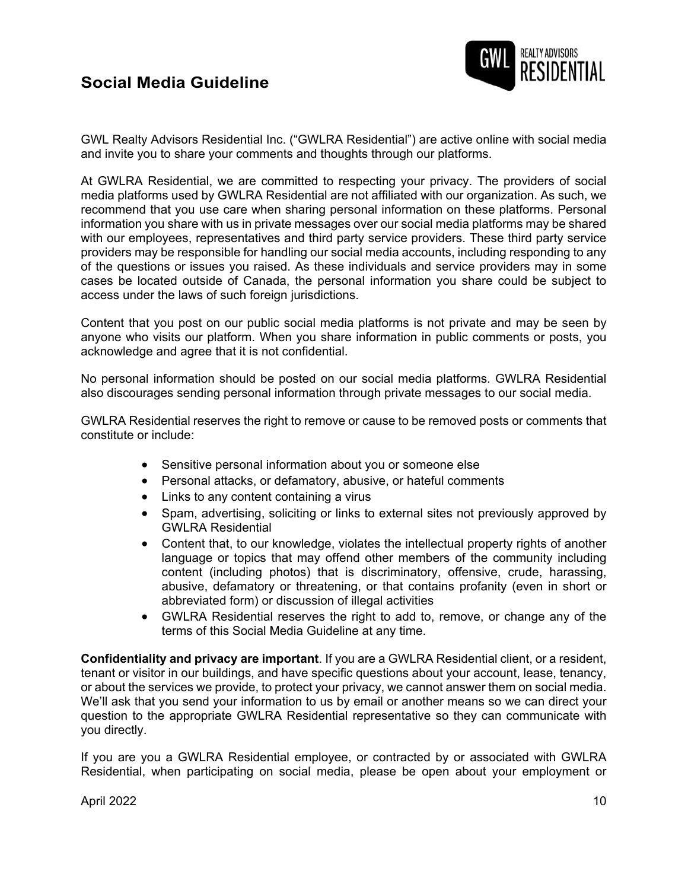# **Social Media Guideline**



GWL Realty Advisors Residential Inc. ("GWLRA Residential") are active online with social media and invite you to share your comments and thoughts through our platforms.

At GWLRA Residential, we are committed to respecting your privacy. The providers of social media platforms used by GWLRA Residential are not affiliated with our organization. As such, we recommend that you use care when sharing personal information on these platforms. Personal information you share with us in private messages over our social media platforms may be shared with our employees, representatives and third party service providers. These third party service providers may be responsible for handling our social media accounts, including responding to any of the questions or issues you raised. As these individuals and service providers may in some cases be located outside of Canada, the personal information you share could be subject to access under the laws of such foreign jurisdictions.

Content that you post on our public social media platforms is not private and may be seen by anyone who visits our platform. When you share information in public comments or posts, you acknowledge and agree that it is not confidential.

No personal information should be posted on our social media platforms. GWLRA Residential also discourages sending personal information through private messages to our social media.

GWLRA Residential reserves the right to remove or cause to be removed posts or comments that constitute or include:

- Sensitive personal information about you or someone else
- Personal attacks, or defamatory, abusive, or hateful comments
- Links to any content containing a virus
- Spam, advertising, soliciting or links to external sites not previously approved by GWLRA Residential
- Content that, to our knowledge, violates the intellectual property rights of another language or topics that may offend other members of the community including content (including photos) that is discriminatory, offensive, crude, harassing, abusive, defamatory or threatening, or that contains profanity (even in short or abbreviated form) or discussion of illegal activities
- GWLRA Residential reserves the right to add to, remove, or change any of the terms of this Social Media Guideline at any time.

**Confidentiality and privacy are important**. If you are a GWLRA Residential client, or a resident, tenant or visitor in our buildings, and have specific questions about your account, lease, tenancy, or about the services we provide, to protect your privacy, we cannot answer them on social media. We'll ask that you send your information to us by email or another means so we can direct your question to the appropriate GWLRA Residential representative so they can communicate with you directly.

If you are you a GWLRA Residential employee, or contracted by or associated with GWLRA Residential, when participating on social media, please be open about your employment or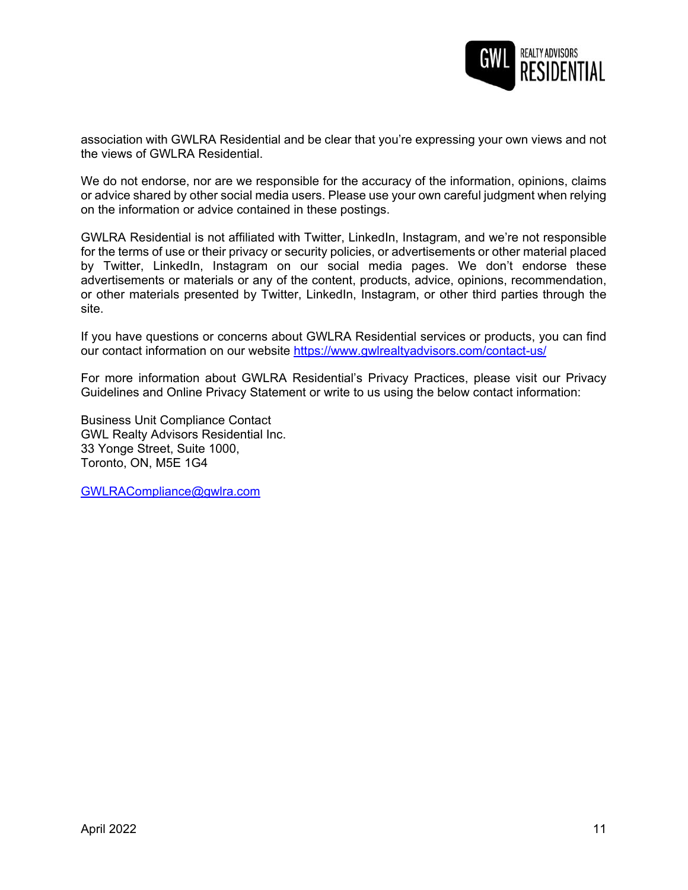

association with GWLRA Residential and be clear that you're expressing your own views and not the views of GWLRA Residential.

We do not endorse, nor are we responsible for the accuracy of the information, opinions, claims or advice shared by other social media users. Please use your own careful judgment when relying on the information or advice contained in these postings.

GWLRA Residential is not affiliated with Twitter, LinkedIn, Instagram, and we're not responsible for the terms of use or their privacy or security policies, or advertisements or other material placed by Twitter, LinkedIn, Instagram on our social media pages. We don't endorse these advertisements or materials or any of the content, products, advice, opinions, recommendation, or other materials presented by Twitter, LinkedIn, Instagram, or other third parties through the site.

If you have questions or concerns about GWLRA Residential services or products, you can find our contact information on our website <https://www.gwlrealtyadvisors.com/contact-us/>

For more information about GWLRA Residential's Privacy Practices, please visit our Privacy Guidelines and Online Privacy Statement or write to us using the below contact information:

Business Unit Compliance Contact GWL Realty Advisors Residential Inc. 33 Yonge Street, Suite 1000, Toronto, ON, M5E 1G4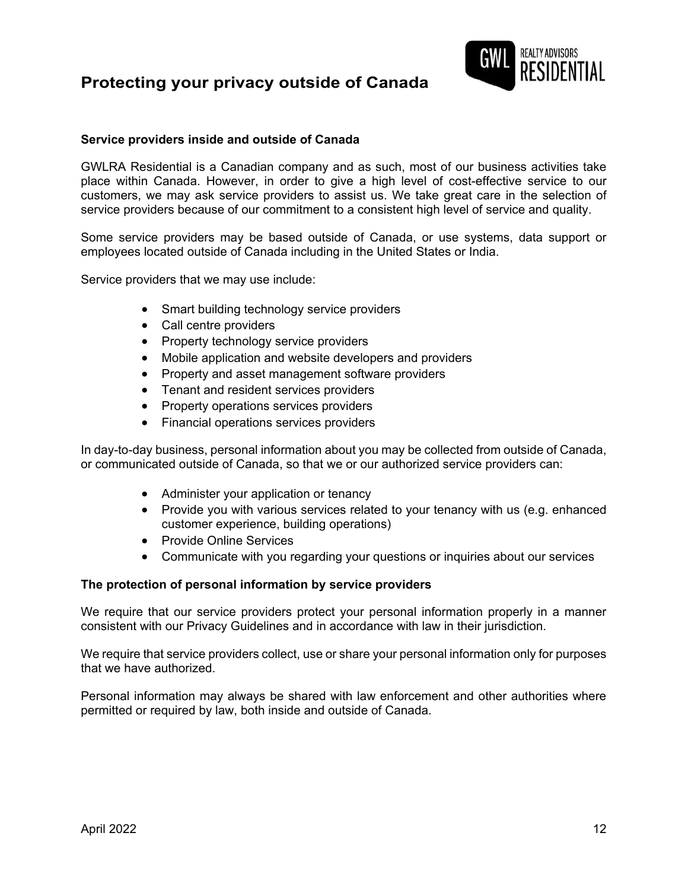# **Protecting your privacy outside of Canada**



## **Service providers inside and outside of Canada**

GWLRA Residential is a Canadian company and as such, most of our business activities take place within Canada. However, in order to give a high level of cost-effective service to our customers, we may ask service providers to assist us. We take great care in the selection of service providers because of our commitment to a consistent high level of service and quality.

Some service providers may be based outside of Canada, or use systems, data support or employees located outside of Canada including in the United States or India.

Service providers that we may use include:

- Smart building technology service providers
- Call centre providers
- Property technology service providers
- Mobile application and website developers and providers
- Property and asset management software providers
- Tenant and resident services providers
- Property operations services providers
- Financial operations services providers

In day-to-day business, personal information about you may be collected from outside of Canada, or communicated outside of Canada, so that we or our authorized service providers can:

- Administer your application or tenancy
- Provide you with various services related to your tenancy with us (e.g. enhanced customer experience, building operations)
- Provide Online Services
- Communicate with you regarding your questions or inquiries about our services

### **The protection of personal information by service providers**

We require that our service providers protect your personal information properly in a manner consistent with our Privacy Guidelines and in accordance with law in their jurisdiction.

We require that service providers collect, use or share your personal information only for purposes that we have authorized.

Personal information may always be shared with law enforcement and other authorities where permitted or required by law, both inside and outside of Canada.